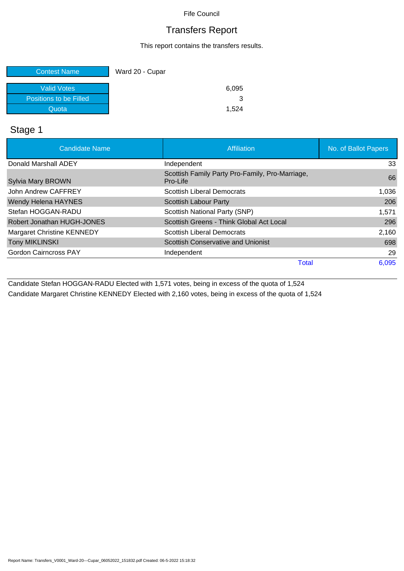# Transfers Report

This report contains the transfers results.

| <b>Contest Name</b>    | Ward 20 - Cupar |
|------------------------|-----------------|
| Valid Votes            | 6,095           |
| Positions to be Filled |                 |
| Quota                  | 1.524           |

### Stage 1

| <b>Candidate Name</b>        | Affiliation                                                 | No. of Ballot Papers |
|------------------------------|-------------------------------------------------------------|----------------------|
| Donald Marshall ADEY         | Independent                                                 | 33                   |
| <b>Sylvia Mary BROWN</b>     | Scottish Family Party Pro-Family, Pro-Marriage,<br>Pro-Life | 66                   |
| John Andrew CAFFREY          | <b>Scottish Liberal Democrats</b>                           | 1,036                |
| <b>Wendy Helena HAYNES</b>   | <b>Scottish Labour Party</b>                                | 206                  |
| Stefan HOGGAN-RADU           | Scottish National Party (SNP)                               | 1,571                |
| Robert Jonathan HUGH-JONES   | Scottish Greens - Think Global Act Local                    | 296                  |
| Margaret Christine KENNEDY   | <b>Scottish Liberal Democrats</b>                           | 2,160                |
| <b>Tony MIKLINSKI</b>        | Scottish Conservative and Unionist                          | 698                  |
| <b>Gordon Cairncross PAY</b> | Independent                                                 | 29                   |
|                              | <b>Total</b>                                                | 6,095                |

Candidate Stefan HOGGAN-RADU Elected with 1,571 votes, being in excess of the quota of 1,524

Candidate Margaret Christine KENNEDY Elected with 2,160 votes, being in excess of the quota of 1,524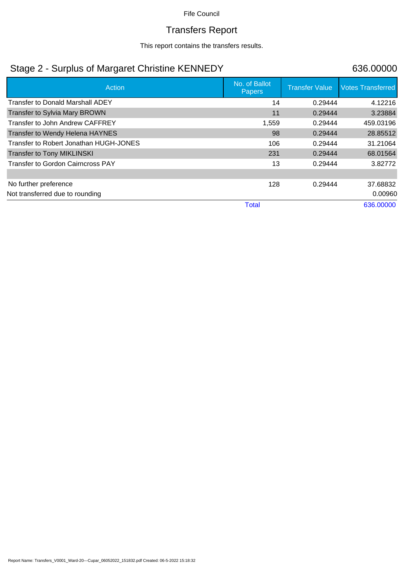# Transfers Report

This report contains the transfers results.

## Stage 2 - Surplus of Margaret Christine KENNEDY 636.00000

| Action                                   | No. of Ballot<br><b>Papers</b> | <b>Transfer Value</b> | <b>Votes Transferred</b> |
|------------------------------------------|--------------------------------|-----------------------|--------------------------|
| <b>Transfer to Donald Marshall ADEY</b>  | 14                             | 0.29444               | 4.12216                  |
| <b>Transfer to Sylvia Mary BROWN</b>     | 11                             | 0.29444               | 3.23884                  |
| Transfer to John Andrew CAFFREY          | 1,559                          | 0.29444               | 459.03196                |
| Transfer to Wendy Helena HAYNES          | 98                             | 0.29444               | 28.85512                 |
| Transfer to Robert Jonathan HUGH-JONES   | 106                            | 0.29444               | 31.21064                 |
| <b>Transfer to Tony MIKLINSKI</b>        | 231                            | 0.29444               | 68.01564                 |
| <b>Transfer to Gordon Cairncross PAY</b> | 13                             | 0.29444               | 3.82772                  |
|                                          |                                |                       |                          |
| No further preference                    | 128                            | 0.29444               | 37.68832                 |
| Not transferred due to rounding          |                                |                       | 0.00960                  |
|                                          | <b>Total</b>                   |                       | 636.00000                |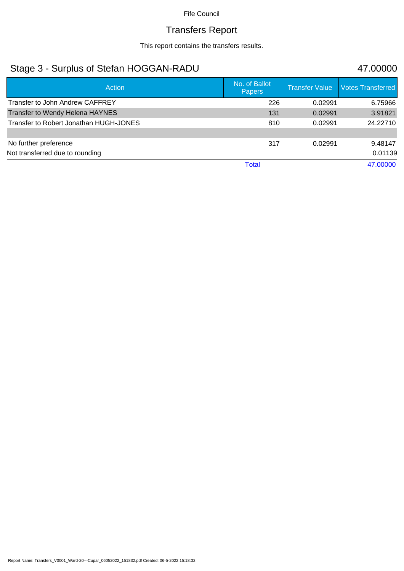# Transfers Report

This report contains the transfers results.

## Stage 3 - Surplus of Stefan HOGGAN-RADU 47.00000

| <b>Action</b>                          | No. of Ballot<br><b>Papers</b> | <b>Transfer Value</b> | <b>Votes Transferred</b> |
|----------------------------------------|--------------------------------|-----------------------|--------------------------|
| Transfer to John Andrew CAFFREY        | 226                            | 0.02991               | 6.75966                  |
| Transfer to Wendy Helena HAYNES        | 131                            | 0.02991               | 3.91821                  |
| Transfer to Robert Jonathan HUGH-JONES | 810                            | 0.02991               | 24.22710                 |
|                                        |                                |                       |                          |
| No further preference                  | 317                            | 0.02991               | 9.48147                  |
| Not transferred due to rounding        |                                |                       | 0.01139                  |
|                                        | Total                          |                       | 47.00000                 |

Report Name: Transfers\_V0001\_Ward-20---Cupar\_06052022\_151832.pdf Created: 06-5-2022 15:18:32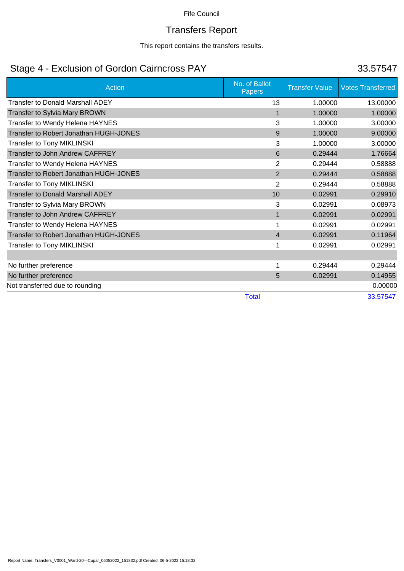# Transfers Report

This report contains the transfers results.

# Stage 4 - Exclusion of Gordon Cairncross PAY 33.57547

| <b>Action</b>                           | No. of Ballot<br><b>Papers</b> | <b>Transfer Value</b> | <b>Votes Transferred</b> |
|-----------------------------------------|--------------------------------|-----------------------|--------------------------|
| <b>Transfer to Donald Marshall ADEY</b> | 13                             | 1.00000               | 13.00000                 |
| Transfer to Sylvia Mary BROWN           | 1                              | 1.00000               | 1.00000                  |
| Transfer to Wendy Helena HAYNES         | 3                              | 1.00000               | 3.00000                  |
| Transfer to Robert Jonathan HUGH-JONES  | 9                              | 1.00000               | 9.00000                  |
| <b>Transfer to Tony MIKLINSKI</b>       | 3                              | 1.00000               | 3.00000                  |
| Transfer to John Andrew CAFFREY         | 6                              | 0.29444               | 1.76664                  |
| Transfer to Wendy Helena HAYNES         | 2                              | 0.29444               | 0.58888                  |
| Transfer to Robert Jonathan HUGH-JONES  | 2                              | 0.29444               | 0.58888                  |
| <b>Transfer to Tony MIKLINSKI</b>       | 2                              | 0.29444               | 0.58888                  |
| <b>Transfer to Donald Marshall ADEY</b> | 10                             | 0.02991               | 0.29910                  |
| Transfer to Sylvia Mary BROWN           | 3                              | 0.02991               | 0.08973                  |
| Transfer to John Andrew CAFFREY         | 1                              | 0.02991               | 0.02991                  |
| Transfer to Wendy Helena HAYNES         |                                | 0.02991               | 0.02991                  |
| Transfer to Robert Jonathan HUGH-JONES  | $\overline{4}$                 | 0.02991               | 0.11964                  |
| <b>Transfer to Tony MIKLINSKI</b>       |                                | 0.02991               | 0.02991                  |
|                                         |                                |                       |                          |
| No further preference                   |                                | 0.29444               | 0.29444                  |
| No further preference                   | 5                              | 0.02991               | 0.14955                  |
| Not transferred due to rounding         |                                |                       | 0.00000                  |
|                                         | <b>Total</b>                   |                       | 33.57547                 |

Report Name: Transfers\_V0001\_Ward-20---Cupar\_06052022\_151832.pdf Created: 06-5-2022 15:18:32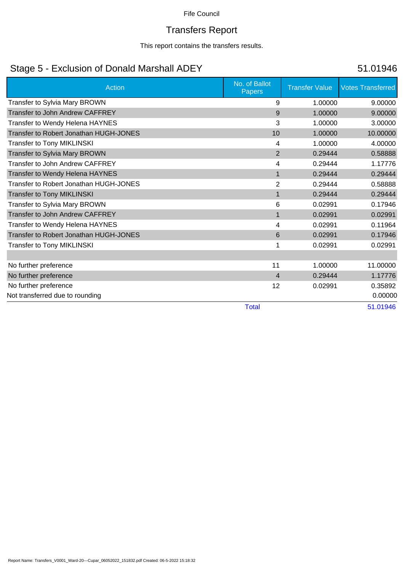# Transfers Report

This report contains the transfers results.

## Stage 5 - Exclusion of Donald Marshall ADEY 51.01946

| <b>Action</b>                          | No. of Ballot<br>Papers | <b>Transfer Value</b> | <b>Votes Transferred</b> |
|----------------------------------------|-------------------------|-----------------------|--------------------------|
| Transfer to Sylvia Mary BROWN          | 9                       | 1.00000               | 9.00000                  |
| Transfer to John Andrew CAFFREY        | 9                       | 1.00000               | 9.00000                  |
| Transfer to Wendy Helena HAYNES        | 3                       | 1.00000               | 3.00000                  |
| Transfer to Robert Jonathan HUGH-JONES | 10                      | 1.00000               | 10.00000                 |
| <b>Transfer to Tony MIKLINSKI</b>      | 4                       | 1.00000               | 4.00000                  |
| Transfer to Sylvia Mary BROWN          | $\overline{2}$          | 0.29444               | 0.58888                  |
| Transfer to John Andrew CAFFREY        | 4                       | 0.29444               | 1.17776                  |
| Transfer to Wendy Helena HAYNES        | $\mathbf{1}$            | 0.29444               | 0.29444                  |
| Transfer to Robert Jonathan HUGH-JONES | $\overline{2}$          | 0.29444               | 0.58888                  |
| <b>Transfer to Tony MIKLINSKI</b>      | $\mathbf{1}$            | 0.29444               | 0.29444                  |
| Transfer to Sylvia Mary BROWN          | 6                       | 0.02991               | 0.17946                  |
| Transfer to John Andrew CAFFREY        | $\mathbf{1}$            | 0.02991               | 0.02991                  |
| Transfer to Wendy Helena HAYNES        | 4                       | 0.02991               | 0.11964                  |
| Transfer to Robert Jonathan HUGH-JONES | 6                       | 0.02991               | 0.17946                  |
| <b>Transfer to Tony MIKLINSKI</b>      |                         | 0.02991               | 0.02991                  |
|                                        |                         |                       |                          |
| No further preference                  | 11                      | 1.00000               | 11.00000                 |
| No further preference                  | $\overline{4}$          | 0.29444               | 1.17776                  |
| No further preference                  | 12                      | 0.02991               | 0.35892                  |
| Not transferred due to rounding        |                         |                       | 0.00000                  |
|                                        | <b>Total</b>            |                       | 51.01946                 |